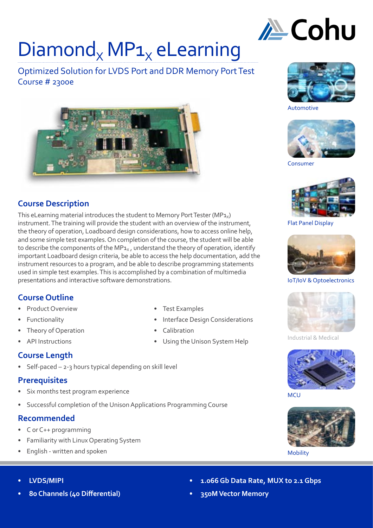

# $Diamond_x MP_{1x}$  eLearning

# Optimized Solution for LVDS Port and DDR Memory Port Test Course # 2300e



# **Course Description**

This eLearning material introduces the student to Memory Port Tester (MP $_{1x}$ ) instrument. The training will provide the student with an overview of the instrument, the theory of operation, Loadboard design considerations, how to access online help, and some simple test examples. On completion of the course, the student will be able to describe the components of the MP $1<sub>X</sub>$ , understand the theory of operation, identify important Loadboard design criteria, be able to access the help documentation, add the instrument resources to a program, and be able to describe programming statements used in simple test examples. This is accomplished by a combination of multimedia presentations and interactive software demonstrations. Interactive software demonstrations. Interactive software demonstrations.

# **Course Outline**

- Product Overview
- **Functionality**
- Theory of Operation
- API Instructions

# **Course Length**

Self-paced  $-$  2-3 hours typical depending on skill level

### **Prerequisites**

- Six months test program experience
- Successful completion of the Unison Applications Programming Course

### **Recommended**

- C or C++ programming
- Familiarity with Linux Operating System
- English written and spoken
- Test Examples
- Interface Design Considerations
- **Calibration**
- Using the Unison System Help





Consumer



Flat Panel Display





Industrial & Medical



**MCU** 



**Mobility** 

- **• LVDS/MIPI**
- **• 80 Channels (40 Differential)**
- **• 1.066 Gb Data Rate, MUX to 2.1 Gbps**
- **• 350M Vector Memory**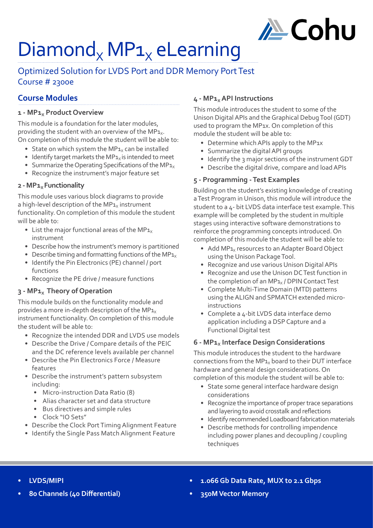

# $Diamond_x MP_{1x}$  eLearning

# Optimized Solution for LVDS Port and DDR Memory Port Test Course # 2300e

# **Course Modules**

#### 1 - MP<sub>1x</sub> Product Overview

This module is a foundation for the later modules, providing the student with an overview of the MP $1_x$ . On completion of this module the student will be able to:

- State on which system the MP $1_x$  can be installed
- Identify target markets the MP $1_x$  is intended to meet
- Summarize the Operating Specifications of the MP $1_x$
- Recognize the instrument's major feature set

#### **2 - MP<sub>1x</sub> Functionality**

This module uses various block diagrams to provide a high-level description of the MP $1_x$  instrument functionality. On completion of this module the student will be able to:

- List the major functional areas of the MP $1_x$ instrument
- Describe how the instrument's memory is partitioned
- Describe timing and formatting functions of the MP $1_x$
- Identify the Pin Electronics (PE) channel / port functions
- Recognize the PE drive / measure functions

### **3 - MP<sub>1x</sub> Theory of Operation**

This module builds on the functionality module and provides a more in-depth description of the MP $1_x$ instrument functionality. On completion of this module the student will be able to:

- Recognize the intended DDR and LVDS use models
- Describe the Drive / Compare details of the PEIC and the DC reference levels available per channel
- Describe the Pin Electronics Force / Measure features
- Describe the instrument's pattern subsystem including:
	- Micro-instruction Data Ratio (8)
	- Alias character set and data structure
	- Bus directives and simple rules
	- Clock "IO Sets"
- Describe the Clock Port Timing Alignment Feature
- Identify the Single Pass Match Alignment Feature

## **4 - MP1X API Instructions**

This module introduces the student to some of the Unison Digital APIs and the Graphical Debug Tool (GDT) used to program the MP1x. On completion of this module the student will be able to:

- Determine which APIs apply to the MP1x
- Summarize the digital API groups
- Identify the 3 major sections of the instrument GDT
- Describe the digital drive, compare and load APIs

#### **5 - Programming - Test Examples**

Building on the student's existing knowledge of creating a Test Program in Unison, this module will introduce the student to a 4- bit LVDS data interface test example. This example will be completed by the student in multiple stages using interactive software demonstrations to reinforce the programming concepts introduced. On completion of this module the student will be able to:

- Add MP<sub>1x</sub> resources to an Adapter Board Object using the Unison Package Tool.
- Recognize and use various Unison Digital APIs
- Recognize and use the Unison DC Test function in the completion of an  $MP_{1x}/DPIN$  Contact Test
- Complete Multi-Time Domain (MTD) patterns using the ALIGN and SPMATCH extended microinstructions
- Complete a 4-bit LVDS data interface demo application including a DSP Capture and a Functional Digital test

#### **6 - MP<sub>1x</sub> Interface Design Considerations**

This module introduces the student to the hardware connections from the MP $1_x$  board to their DUT interface hardware and general design considerations. On completion of this module the student will be able to:

- State some general interface hardware design considerations
- Recognize the importance of proper trace separations and layering to avoid crosstalk and reflections
- Identify recommended Loadboard fabrication materials
- Describe methods for controlling impendence including power planes and decoupling / coupling techniques

- **• LVDS/MIPI**
- **• 80 Channels (40 Differential)**
- **• 1.066 Gb Data Rate, MUX to 2.1 Gbps**
- **• 350M Vector Memory**